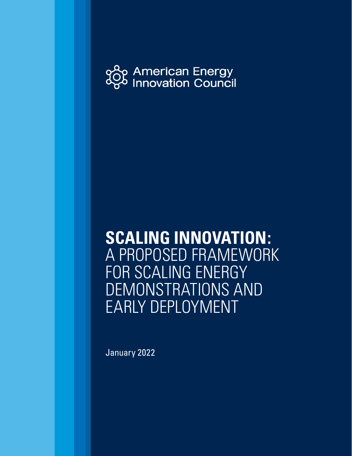

# **SCALING INNOVATION:** A PROPOSED FRAMEWORK FOR SCALING ENERGY DEMONSTRATIONS AND EARLY DEPLOYMENT

January 2022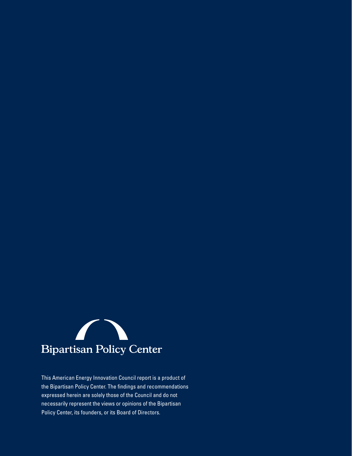

This American Energy Innovation Council report is a product of the Bipartisan Policy Center. The findings and recommendations expressed herein are solely those of the Council and do not necessarily represent the views or opinions of the Bipartisan Policy Center, its founders, or its Board of Directors.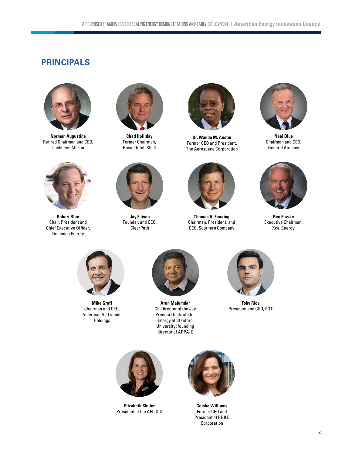# **PRINCIPALS**



**Norman Augustine**  Retired Chairman and CEO, Lockheed Martin



**Robert Blue** Chair, President and Chief Executive Officer, Dominion Energy



**Chad Holliday** Former Chairman, Royal Dutch Shell



**Jay Faison** Founder, and CEO, ClearPath



**Dr. Wanda M. Austin** Former CEO and President, The Aerospace Corporation



**Thomas A. Fanning**  Chairman, President, and CEO, Southern Company



**Neal Blue** Chairman and CEO, General Atomics



**Ben Fowke**  Executive Chairman, Xcel Energy



**Mike Graff** Chairman and CEO, American Air Liquide Holdings



**Arun Majumdar** Co-Director of the Jay Precourt Institute for Energy at Stanford University; founding director of ARPA-E



**Toby Ric**e President and CEO, EQT



**Elizabeth Shuler** President of the AFL-CIO



**Geisha Williams** Former CEO and President of PG&E Corporation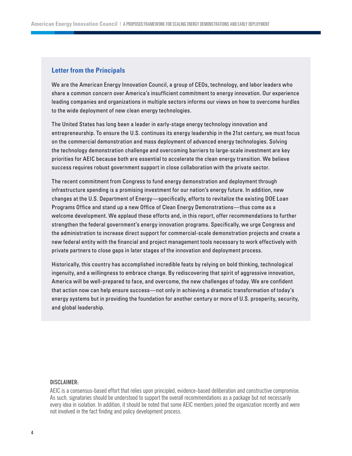#### **Letter from the Principals**

We are the American Energy Innovation Council, a group of CEOs, technology, and labor leaders who share a common concern over America's insufficient commitment to energy innovation. Our experience leading companies and organizations in multiple sectors informs our views on how to overcome hurdles to the wide deployment of new clean energy technologies.

The United States has long been a leader in early-stage energy technology innovation and entrepreneurship. To ensure the U.S. continues its energy leadership in the 21st century, we must focus on the commercial demonstration and mass deployment of advanced energy technologies. Solving the technology demonstration challenge and overcoming barriers to large-scale investment are key priorities for AEIC because both are essential to accelerate the clean energy transition. We believe success requires robust government support in close collaboration with the private sector.

The recent commitment from Congress to fund energy demonstration and deployment through infrastructure spending is a promising investment for our nation's energy future. In addition, new changes at the U.S. Department of Energy—specifically, efforts to revitalize the existing DOE Loan Programs Office and stand up a new Office of Clean Energy Demonstrations—thus come as a welcome development. We applaud these efforts and, in this report, offer recommendations to further strengthen the federal government's energy innovation programs. Specifically, we urge Congress and the administration to increase direct support for commercial-scale demonstration projects and create a new federal entity with the financial and project management tools necessary to work effectively with private partners to close gaps in later stages of the innovation and deployment process.

Historically, this country has accomplished incredible feats by relying on bold thinking, technological ingenuity, and a willingness to embrace change. By rediscovering that spirit of aggressive innovation, America will be well-prepared to face, and overcome, the new challenges of today. We are confident that action now can help ensure success—not only in achieving a dramatic transformation of today's energy systems but in providing the foundation for another century or more of U.S. prosperity, security, and global leadership.

#### **DISCLAIMER:**

AEIC is a consensus-based effort that relies upon principled, evidence-based deliberation and constructive compromise. As such, signatories should be understood to support the overall recommendations as a package but not necessarily every idea in isolation. In addition, it should be noted that some AEIC members joined the organization recently and were not involved in the fact finding and policy development process.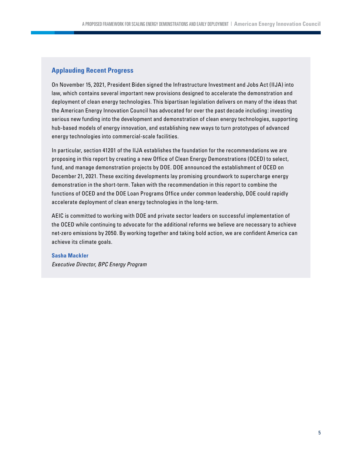## **Applauding Recent Progress**

On November 15, 2021, President Biden signed the Infrastructure Investment and Jobs Act (IIJA) into law, which contains several important new provisions designed to accelerate the demonstration and deployment of clean energy technologies. This bipartisan legislation delivers on many of the ideas that the American Energy Innovation Council has advocated for over the past decade including: investing serious new funding into the development and demonstration of clean energy technologies, supporting hub-based models of energy innovation, and establishing new ways to turn prototypes of advanced energy technologies into commercial-scale facilities.

In particular, section 41201 of the IIJA establishes the foundation for the recommendations we are proposing in this report by creating a new Office of Clean Energy Demonstrations (OCED) to select, fund, and manage demonstration projects by DOE. DOE announced the establishment of OCED on December 21, 2021. These exciting developments lay promising groundwork to supercharge energy demonstration in the short-term. Taken with the recommendation in this report to combine the functions of OCED and the DOE Loan Programs Office under common leadership, DOE could rapidly accelerate deployment of clean energy technologies in the long-term.

AEIC is committed to working with DOE and private sector leaders on successful implementation of the OCED while continuing to advocate for the additional reforms we believe are necessary to achieve net-zero emissions by 2050. By working together and taking bold action, we are confident America can achieve its climate goals.

#### **Sasha Mackler**

*Executive Director, BPC Energy Program*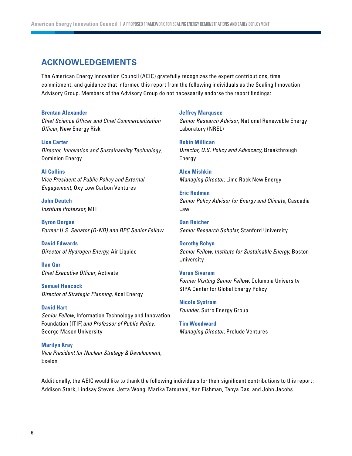## **ACKNOWLEDGEMENTS**

The American Energy Innovation Council (AEIC) gratefully recognizes the expert contributions, time commitment, and guidance that informed this report from the following individuals as the Scaling Innovation Advisory Group. Members of the Advisory Group do not necessarily endorse the report findings:

#### **Brentan Alexander**

*Chief Science Officer and Chief Commercialization Officer,* New Energy Risk

**Lisa Carter**  *Director, Innovation and Sustainability Technology,* Dominion Energy

#### **Al Collins**

*Vice President of Public Policy and External Engagement,* Oxy Low Carbon Ventures

**John Deutch**  *Institute Professor,* MIT

**Byron Dorgan** *Former U.S. Senator (D-ND) and BPC Senior Fellow*

**David Edwards** *Director of Hydrogen Energy,* Air Liquide

**Ilan Gur**  *Chief Executive Officer,* Activate

**Samuel Hancock**  *Director of Strategic Planning,* Xcel Energy

**David Hart**  *Senior Fellow,* Information Technology and Innovation Foundation (ITIF)*and Professor of Public Policy,*  George Mason University

**Marilyn Kray** *Vice President for Nuclear Strategy & Development,* Exelon

#### **Jeffrey Marqusee**

*Senior Research Advisor,* National Renewable Energy Laboratory (NREL)

**Robin Millican** *Director, U.S. Policy and Advocacy,* Breakthrough Energy

**Alex Mishkin** *Managing Director,* Lime Rock New Energy

**Eric Redman** *Senior Policy Advisor for Energy and Climate,* Cascadia Law

**Dan Reicher** *Senior Research Scholar,* Stanford University

**Dorothy Robyn**  *Senior Fellow, Institute for Sustainable Energy,* Boston **University** 

**Varun Sivaram**  *Former Visiting Senior Fellow,* Columbia University SIPA Center for Global Energy Policy

**Nicole Systrom** *Founder,* Sutro Energy Group

**Tim Woodward** *Managing Director,* Prelude Ventures

Additionally, the AEIC would like to thank the following individuals for their significant contributions to this report: Addison Stark, Lindsay Steves, Jetta Wong, Marika Tatsutani, Xan Fishman, Tanya Das, and John Jacobs.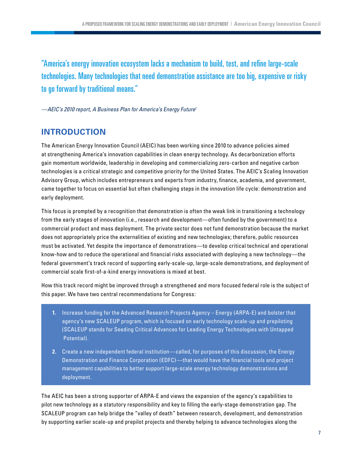<span id="page-6-0"></span>"America's energy innovation ecosystem lacks a mechanism to build, test, and refine large-scale technologies. Many technologies that need demonstration assistance are too big, expensive or risky to go forward by traditional means."

*—AEIC's 2010 report, A Business Plan for America's Energy Futur[e1](#page-27-0)*

# **INTRODUCTION**

The American Energy Innovation Council (AEIC) has been working since 2010 to advance policies aimed at strengthening America's innovation capabilities in clean energy technology. As decarbonization efforts gain momentum worldwide, leadership in developing and commercializing zero-carbon and negative carbon technologies is a critical strategic and competitive priority for the United States. The AEIC's Scaling Innovation Advisory Group, which includes entrepreneurs and experts from industry, finance, academia, and government, came together to focus on essential but often challenging steps in the innovation life cycle: demonstration and early deployment.

This focus is prompted by a recognition that demonstration is often the weak link in transitioning a technology from the early stages of innovation (i.e., research and development—often funded by the government) to a commercial product and mass deployment. The private sector does not fund demonstration because the market does not appropriately price the externalities of existing and new technologies; therefore, public resources must be activated. Yet despite the importance of demonstrations—to develop critical technical and operational know-how and to reduce the operational and financial risks associated with deploying a new technology—the federal government's track record of supporting early-scale-up, large-scale demonstrations, and deployment of commercial scale first-of-a-kind energy innovations is mixed at best.

How this track record might be improved through a strengthened and more focused federal role is the subject of this paper. We have two central recommendations for Congress:

- **1.** Increase funding for the Advanced Research Projects Agency Energy (ARPA-E) and bolster that agency's new SCALEUP program, which is focused on early technology scale-up and prepiloting (SCALEUP stands for Seeding Critical Advances for Leading Energy Technologies with Untapped Potential).
- **2.** Create a new independent federal institution—called, for purposes of this discussion, the Energy Demonstration and Finance Corporation (EDFC) —that would have the financial tools and project management capabilities to better support large-scale energy technology demonstrations and deployment.

The AEIC has been a strong supporter of ARPA-E and views the expansion of the agency's capabilities to pilot new technology as a statutory responsibility and key to filling the early-stage demonstration gap. The SCALEUP program can help bridge the "valley of death" between research, development, and demonstration by supporting earlier scale-up and prepilot projects and thereby helping to advance technologies along the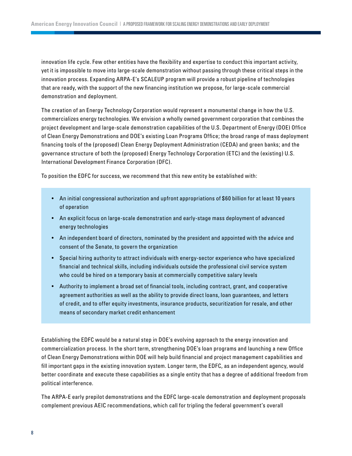innovation life cycle. Few other entities have the flexibility and expertise to conduct this important activity, yet it is impossible to move into large-scale demonstration without passing through these critical steps in the innovation process. Expanding ARPA-E's SCALEUP program will provide a robust pipeline of technologies that are ready, with the support of the new financing institution we propose, for large-scale commercial demonstration and deployment.

The creation of an Energy Technology Corporation would represent a monumental change in how the U.S. commercializes energy technologies. We envision a wholly owned government corporation that combines the project development and large-scale demonstration capabilities of the U.S. Department of Energy (DOE) Office of Clean Energy Demonstrations and DOE's existing Loan Programs Office; the broad range of mass deployment financing tools of the (proposed) Clean Energy Deployment Administration (CEDA) and green banks; and the governance structure of both the (proposed) Energy Technology Corporation (ETC) and the (existing) U.S. International Development Finance Corporation (DFC).

To position the EDFC for success, we recommend that this new entity be established with:

- An initial congressional authorization and upfront appropriations of \$ 60 billion for at least 10 years of operation
- An explicit focus on large-scale demonstration and early-stage mass deployment of advanced energy technologies
- An independent board of directors, nominated by the president and appointed with the advice and consent of the Senate, to govern the organization
- Special hiring authority to attract individuals with energy-sector experience who have specialized financial and technical skills, including individuals outside the professional civil service system who could be hired on a temporary basis at commercially competitive salary levels
- Authority to implement a broad set of financial tools, including contract, grant, and cooperative agreement authorities as well as the ability to provide direct loans, loan guarantees, and letters of credit, and to offer equity investments, insurance products, securitization for resale, and other means of secondary market credit enhancement

Establishing the EDFC would be a natural step in DOE's evolving approach to the energy innovation and commercialization process. In the short term, strengthening DOE's loan programs and launching a new Office of Clean Energy Demonstrations within DOE will help build financial and project management capabilities and fill important gaps in the existing innovation system. Longer term, the EDFC, as an independent agency, would better coordinate and execute these capabilities as a single entity that has a degree of additional freedom from political interference.

The ARPA-E early prepilot demonstrations and the EDFC large-scale demonstration and deployment proposals complement previous AEIC recommendations, which call for tripling the federal government's overall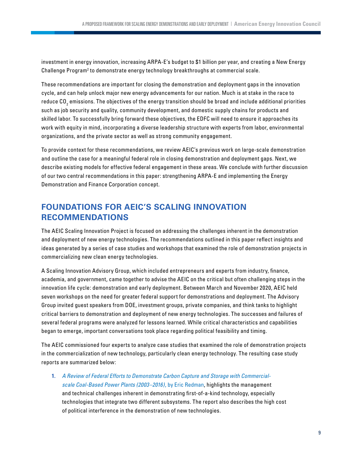<span id="page-8-0"></span>investment in energy innovation, increasing ARPA-E's budget to \$1 billion per year, and creating a New Energy Challenge Program<sup>[2](#page-27-0)</sup> to demonstrate energy technology breakthroughs at commercial scale.

These recommendations are important for closing the demonstration and deployment gaps in the innovation cycle, and can help unlock major new energy advancements for our nation. Much is at stake in the race to reduce CO $_{\rm 2}$  emissions. The objectives of the energy transition should be broad and include additional priorities such as job security and quality, community development, and domestic supply chains for products and skilled labor. To successfully bring forward these objectives, the EDFC will need to ensure it approaches its work with equity in mind, incorporating a diverse leadership structure with experts from labor, environmental organizations, and the private sector as well as strong community engagement.

To provide context for these recommendations, we review AEIC's previous work on large-scale demonstration and outline the case for a meaningful federal role in closing demonstration and deployment gaps. Next, we describe existing models for effective federal engagement in these areas. We conclude with further discussion of our two central recommendations in this paper: strengthening ARPA-E and implementing the Energy Demonstration and Finance Corporation concept.

# **FOUNDATIONS FOR AEIC'S SCALING INNOVATION RECOMMENDATIONS**

The AEIC Scaling Innovation Project is focused on addressing the challenges inherent in the demonstration and deployment of new energy technologies. The recommendations outlined in this paper reflect insights and ideas generated by a series of case studies and workshops that examined the role of demonstration projects in commercializing new clean energy technologies.

A Scaling Innovation Advisory Group, which included entrepreneurs and experts from industry, finance, academia, and government, came together to advise the AEIC on the critical but often challenging steps in the innovation life cycle: demonstration and early deployment. Between March and November 2020, AEIC held seven workshops on the need for greater federal support for demonstrations and deployment. The Advisory Group invited guest speakers from DOE, investment groups, private companies, and think tanks to highlight critical barriers to demonstration and deployment of new energy technologies. The successes and failures of several federal programs were analyzed for lessons learned. While critical characteristics and capabilities began to emerge, important conversations took place regarding political feasibility and timing.

The AEIC commissioned four experts to analyze case studies that examined the role of demonstration projects in the commercialization of new technology, particularly clean energy technology. The resulting case study reports are summarized below:

**1.** *[A Review of Federal Efforts to Demonstrate Carbon Capture and Storage with Commercial](https://bipartisanpolicy.org/download/?file=/wp-content/uploads/2020/06/The-Mixed-Success-of-the-Carbon-Capture-Demonstrations.pdf )[scale Coal-Based Power Plants \(2003–2016\)](https://bipartisanpolicy.org/download/?file=/wp-content/uploads/2020/06/The-Mixed-Success-of-the-Carbon-Capture-Demonstrations.pdf )*, by Eric Redman, highlights the management and technical challenges inherent in demonstrating first-of-a-kind technology, especially technologies that integrate two different subsystems. The report also describes the high cost of political interference in the demonstration of new technologies.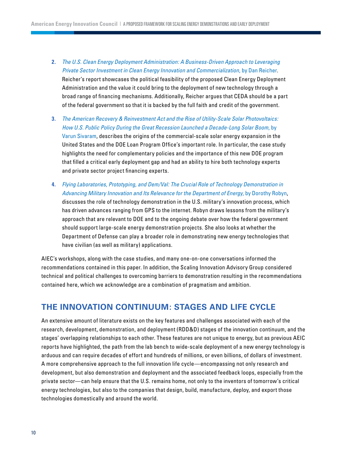- **2.** *[The U.S. Clean Energy Deployment Administration: A Business-Driven Approach to Leveraging](https://bipartisanpolicy.org/download/?file=/wp-content/uploads/2020/06/Looking-Forward-with-a-Clean-Energy-Deployment-Administration.pdf)  [Private Sector Investment in Clean Energy Innovation and Commercialization](https://bipartisanpolicy.org/download/?file=/wp-content/uploads/2020/06/Looking-Forward-with-a-Clean-Energy-Deployment-Administration.pdf)*, by Dan Reicher. Reicher's report showcases the political feasibility of the proposed Clean Energy Deployment Administration and the value it could bring to the deployment of new technology through a broad range of financing mechanisms. Additionally, Reicher argues that CEDA should be a part of the federal government so that it is backed by the full faith and credit of the government.
- **3.** *[The American Recovery & Reinvestment Act and the Rise of Utility-Scale Solar Photovoltaics:](https://bipartisanpolicy.org/download/?file=/wp-content/uploads/2020/06/The-Successful-Demonstration-of-Utility-Scale-PV.pdf)  [How U.S. Public Policy During the Great Recession Launched a Decade-Long Solar Boom](https://bipartisanpolicy.org/download/?file=/wp-content/uploads/2020/06/The-Successful-Demonstration-of-Utility-Scale-PV.pdf)*, by [Varun Sivaram,](https://bipartisanpolicy.org/download/?file=/wp-content/uploads/2020/06/The-Successful-Demonstration-of-Utility-Scale-PV.pdf) describes the origins of the commercial-scale solar energy expansion in the United States and the DOE Loan Program Office's important role. In particular, the case study highlights the need for complementary policies and the importance of this new DOE program that filled a critical early deployment gap and had an ability to hire both technology experts and private sector project financing experts.
- **4.** *[Flying Laboratories, Prototyping, and Dem/Val: The Crucial Role of Technology Demonstration in](https://bipartisanpolicy.org/download/?file=/wp-content/uploads/2020/06/Lessons-from-DOD-where-Demonstrations-are-part-of-the-Culture.pdf)  [Advancing Military Innovation and Its Relevance for the Department of Energy](https://bipartisanpolicy.org/download/?file=/wp-content/uploads/2020/06/Lessons-from-DOD-where-Demonstrations-are-part-of-the-Culture.pdf)*, by Dorothy Robyn, discusses the role of technology demonstration in the U.S. military's innovation process, which has driven advances ranging from GPS to the internet. Robyn draws lessons from the military's approach that are relevant to DOE and to the ongoing debate over how the federal government should support large-scale energy demonstration projects. She also looks at whether the Department of Defense can play a broader role in demonstrating new energy technologies that have civilian (as well as military) applications.

AIEC's workshops, along with the case studies, and many one-on-one conversations informed the recommendations contained in this paper. In addition, the Scaling Innovation Advisory Group considered technical and political challenges to overcoming barriers to demonstration resulting in the recommendations contained here, which we acknowledge are a combination of pragmatism and ambition.

# **THE INNOVATION CONTINUUM: STAGES AND LIFE CYCLE**

An extensive amount of literature exists on the key features and challenges associated with each of the research, development, demonstration, and deployment (RDD&D) stages of the innovation continuum, and the stages' overlapping relationships to each other. These features are not unique to energy, but as previous AEIC reports have highlighted, the path from the lab bench to wide-scale deployment of a new energy technology is arduous and can require decades of effort and hundreds of millions, or even billions, of dollars of investment. A more comprehensive approach to the full innovation life cycle—encompassing not only research and development, but also demonstration and deployment and the associated feedback loops, especially from the private sector—can help ensure that the U.S. remains home, not only to the inventors of tomorrow's critical energy technologies, but also to the companies that design, build, manufacture, deploy, and export those technologies domestically and around the world.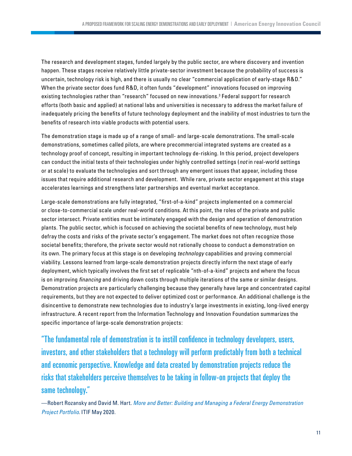<span id="page-10-0"></span>The research and development stages, funded largely by the public sector, are where discovery and invention happen. These stages receive relatively little private-sector investment because the probability of success is uncertain, technology risk is high, and there is usually no clear "commercial application of early-stage R&D." When the private sector does fund R&D, it often funds "development" innovations focused on improving existing technologies rather than "research" focused on new innovations.[3](#page-27-0) Federal support for research efforts (both basic and applied) at national labs and universities is necessary to address the market failure of inadequately pricing the benefits of future technology deployment and the inability of most industries to turn the benefits of research into viable products with potential users.

The demonstration stage is made up of a range of small- and large-scale demonstrations. The small-scale demonstrations, sometimes called pilots, are where precommercial integrated systems are created as a technology proof of concept, resulting in important technology de-risking. In this period, project developers can conduct the initial tests of their technologies under highly controlled settings (*not* in real-world settings or at scale) to evaluate the technologies and sort through any emergent issues that appear, including those issues that require additional research and development. While rare, private sector engagement at this stage accelerates learnings and strengthens later partnerships and eventual market acceptance.

Large-scale demonstrations are fully integrated, "first-of-a-kind" projects implemented on a commercial or close-to-commercial scale under real-world conditions. At this point, the roles of the private and public sector intersect. Private entities must be intimately engaged with the design and operation of demonstration plants. The public sector, which is focused on achieving the societal benefits of new technology, must help defray the costs and risks of the private sector's engagement. The market does not often recognize those societal benefits; therefore, the private sector would not rationally choose to conduct a demonstration on its own. The primary focus at this stage is on developing *technology* capabilities and proving commercial viability. Lessons learned from large-scale demonstration projects directly inform the next stage of early deployment, which typically involves the first set of replicable "nth-of-a-kind" projects and where the focus is on improving *financing* and driving down costs through multiple iterations of the same or similar designs. Demonstration projects are particularly challenging because they generally have large and concentrated capital requirements, but they are not expected to deliver optimized cost or performance. An additional challenge is the disincentive to demonstrate new technologies due to industry's large investments in existing, long-lived energy infrastructure. A recent report from the Information Technology and Innovation Foundation summarizes the specific importance of large-scale demonstration projects:

"The fundamental role of demonstration is to instill confidence in technology developers, users, investors, and other stakeholders that a technology will perform predictably from both a technical and economic perspective. Knowledge and data created by demonstration projects reduce the risks that stakeholders perceive themselves to be taking in follow-on projects that deploy the same technology."

<sup>—</sup>Robert Rozansky and David M. Hart. *[More and Better: Building and Managing a Federal Energy Demonstration](https://itif.org/publications/2020/05/18/more-and-better-building-and-managing-federal-energy-demonstration-project)  [Project Portfolio](https://itif.org/publications/2020/05/18/more-and-better-building-and-managing-federal-energy-demonstration-project)*. ITIF May 2020.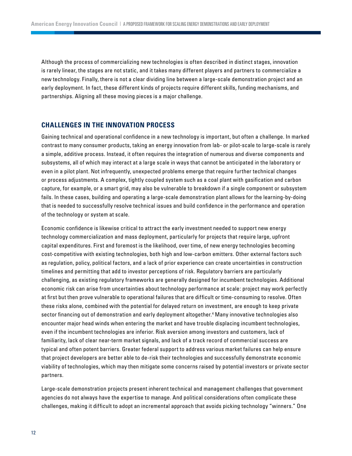<span id="page-11-0"></span>Although the process of commercializing new technologies is often described in distinct stages, innovation is rarely linear, the stages are not static, and it takes many different players and partners to commercialize a new technology. Finally, there is not a clear dividing line between a large-scale demonstration project and an early deployment. In fact, these different kinds of projects require different skills, funding mechanisms, and partnerships. Aligning all these moving pieces is a major challenge.

#### **CHALLENGES IN THE INNOVATION PROCESS**

Gaining technical and operational confidence in a new technology is important, but often a challenge. In marked contrast to many consumer products, taking an energy innovation from lab- or pilot-scale to large-scale is rarely a simple, additive process. Instead, it often requires the integration of numerous and diverse components and subsystems, all of which may interact at a large scale in ways that cannot be anticipated in the laboratory or even in a pilot plant. Not infrequently, unexpected problems emerge that require further technical changes or process adjustments. A complex, tightly coupled system such as a coal plant with gasification and carbon capture, for example, or a smart grid, may also be vulnerable to breakdown if a single component or subsystem fails. In these cases, building and operating a large-scale demonstration plant allows for the learning-by-doing that is needed to successfully resolve technical issues and build confidence in the performance and operation of the technology or system at scale.

Economic confidence is likewise critical to attract the early investment needed to support new energy technology commercialization and mass deployment, particularly for projects that require large, upfront capital expenditures. First and foremost is the likelihood, over time, of new energy technologies becoming cost-competitive with existing technologies, both high and low-carbon emitters. Other external factors such as regulation, policy, political factors, and a lack of prior experience can create uncertainties in construction timelines and permitting that add to investor perceptions of risk. Regulatory barriers are particularly challenging, as existing regulatory frameworks are generally designed for incumbent technologies. Additional economic risk can arise from uncertainties about technology performance at scale: project may work perfectly at first but then prove vulnerable to operational failures that are difficult or time-consuming to resolve. Often these risks alone, combined with the potential for delayed return on investment, are enough to keep private sector financing out of demonstration and early deployment altogether.[4](#page-27-0) Many innovative technologies also encounter major head winds when entering the market and have trouble displacing incumbent technologies, even if the incumbent technologies are inferior. Risk aversion among investors and customers, lack of familiarity, lack of clear near-term market signals, and lack of a track record of commercial success are typical and often potent barriers. Greater federal support to address various market failures can help ensure that project developers are better able to de-risk their technologies and successfully demonstrate economic viability of technologies, which may then mitigate some concerns raised by potential investors or private sector partners.

Large-scale demonstration projects present inherent technical and management challenges that government agencies do not always have the expertise to manage. And political considerations often complicate these challenges, making it difficult to adopt an incremental approach that avoids picking technology "winners." One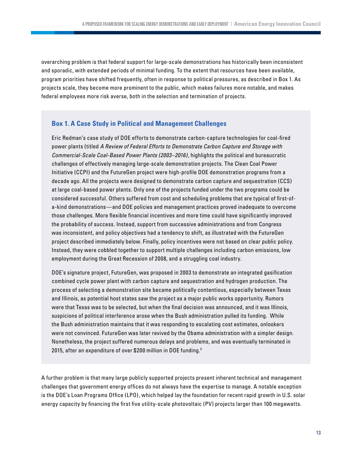<span id="page-12-0"></span>overarching problem is that federal support for large-scale demonstrations has historically been inconsistent and sporadic, with extended periods of minimal funding. To the extent that resources have been available, program priorities have shifted frequently, often in response to political pressures, as described in Box 1. As projects scale, they become more prominent to the public, which makes failures more notable, and makes federal employees more risk averse, both in the selection and termination of projects.

## **Box 1. A Case Study in Political and Management Challenges**

Eric Redman's case study of DOE efforts to demonstrate carbon-capture technologies for coal-fired power plants (titled *A Review of Federal Efforts to Demonstrate Carbon Capture and Storage with Commercial-Scale Coal-Based Power Plants (2003–2016)*, highlights the political and bureaucratic challenges of effectively managing large-scale demonstration projects. The Clean Coal Power Initiative (CCPI) and the FutureGen project were high-profile DOE demonstration programs from a decade ago. All the projects were designed to demonstrate carbon capture and sequestration (CCS) at large coal-based power plants. Only one of the projects funded under the two programs could be considered successful. Others suffered from cost and scheduling problems that are typical of first-ofa-kind demonstrations—and DOE policies and management practices proved inadequate to overcome those challenges. More flexible financial incentives and more time could have significantly improved the probability of success. Instead, support from successive administrations and from Congress was inconsistent, and policy objectives had a tendency to shift, as illustrated with the FutureGen project described immediately below. Finally, policy incentives were not based on clear public policy. Instead, they were cobbled together to support multiple challenges including carbon emissions, low employment during the Great Recession of 2008, and a struggling coal industry.

DOE's signature project, FutureGen, was proposed in 2003 to demonstrate an integrated gasification combined cycle power plant with carbon capture and sequestration and hydrogen production. The process of selecting a demonstration site became politically contentious, especially between Texas and Illinois, as potential host states saw the project as a major public works opportunity. Rumors were that Texas was to be selected, but when the final decision was announced, and it was Illinois, suspicions of political interference arose when the Bush administration pulled its funding. While the Bush administration maintains that it was responding to escalating cost estimates, onlookers were not convinced. FutureGen was later revived by the Obama administration with a simpler design. Nonetheless, the project suffered numerous delays and problems, and was eventually terminated in 201[5](#page-27-0), after an expenditure of over \$200 million in DOE funding.<sup>5</sup>

A further problem is that many large publicly supported projects present inherent technical and management challenges that government energy offices do not always have the expertise to manage. A notable exception is the DOE's Loan Programs Office (LPO), which helped lay the foundation for recent rapid growth in U.S. solar energy capacity by financing the first five utility-scale photovoltaic (PV) projects larger than 100 megawatts.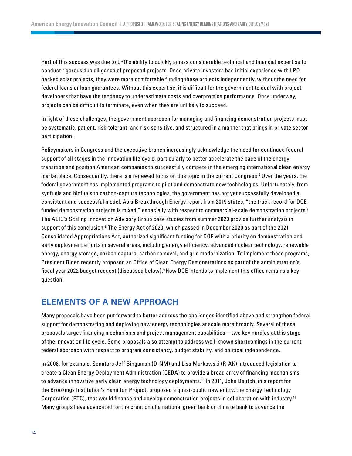<span id="page-13-0"></span>Part of this success was due to LPO's ability to quickly amass considerable technical and financial expertise to conduct rigorous due diligence of proposed projects. Once private investors had initial experience with LPObacked solar projects, they were more comfortable funding these projects independently, without the need for federal loans or loan guarantees. Without this expertise, it is difficult for the government to deal with project developers that have the tendency to underestimate costs and overpromise performance. Once underway, projects can be difficult to terminate, even when they are unlikely to succeed.

In light of these challenges, the government approach for managing and financing demonstration projects must be systematic, patient, risk-tolerant, and risk-sensitive, and structured in a manner that brings in private sector participation.

Policymakers in Congress and the executive branch increasingly acknowledge the need for continued federal support of all stages in the innovation life cycle, particularly to better accelerate the pace of the energy transition and position American companies to successfully compete in the emerging international clean energy marketplace. Consequently, there is a renewed focus on this topic in the current Congress.[6](#page-27-0) Over the years, the federal government has implemented programs to pilot and demonstrate new technologies. Unfortunately, from synfuels and biofuels to carbon-capture technologies, the government has not yet successfully developed a consistent and successful model. As a Breakthrough Energy report from 2019 states, "the track record for DOE-funded demonstration projects is mixed," especially with respect to commercial-scale demonstration projects.<sup>[7](#page-27-0)</sup> The AEIC's Scaling Innovation Advisory Group case studies from summer 2020 provide further analysis in support of this conclusion.[8](#page-27-0) The Energy Act of 2020, which passed in December 2020 as part of the 2021 Consolidated Appropriations Act, authorized significant funding for DOE with a priority on demonstration and early deployment efforts in several areas, including energy efficiency, advanced nuclear technology, renewable energy, energy storage, carbon capture, carbon removal, and grid modernization. To implement these programs, President Biden recently proposed an Office of Clean Energy Demonstrations as part of the administration's fiscal year 2022 budget request (discussed below).[9](#page-27-0)How DOE intends to implement this office remains a key question.

## **ELEMENTS OF A NEW APPROACH**

Many proposals have been put forward to better address the challenges identified above and strengthen federal support for demonstrating and deploying new energy technologies at scale more broadly. Several of these proposals target financing mechanisms and project management capabilities—two key hurdles at this stage of the innovation life cycle. Some proposals also attempt to address well-known shortcomings in the current federal approach with respect to program consistency, budget stability, and political independence.

In 2008, for example, Senators Jeff Bingaman (D-NM) and Lisa Murkowski (R-AK) introduced legislation to create a Clean Energy Deployment Administration (CEDA) to provide a broad array of financing mechanisms to advance innovative early clean energy technology deployments[.10](#page-27-0) In 2011, John Deutch, in a report for the Brookings Institution's Hamilton Project, proposed a quasi-public new entity, the Energy Technology Corporation (ETC), that would finance and develop demonstration projects in collaboration with industry.<sup>11</sup> Many groups have advocated for the creation of a national green bank or climate bank to advance the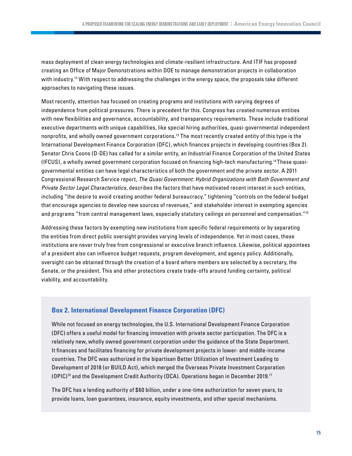<span id="page-14-0"></span>mass deployment of clean energy technologies and climate-resilient infrastructure. And ITIF has proposed creating an Office of Major Demonstrations within DOE to manage demonstration projects in collaboration with industry.<sup>12</sup> With respect to addressing the challenges in the energy space, the proposals take different approaches to navigating these issues.

Most recently, attention has focused on creating programs and institutions with varying degrees of independence from political pressures. There is precedent for this. Congress has created numerous entities with new flexibilities and governance, accountability, and transparency requirements. These include traditional executive departments with unique capabilities, like special hiring authorities, quasi-governmental independent nonprofits, and wholly owned government corporations[.13](#page-27-0) The most recently created entity of this type is the International Development Finance Corporation (DFC), which finances projects in developing countries (Box 2). Senator Chris Coons (D-DE) has called for a similar entity, an Industrial Finance Corporation of the United States (IFCUS), a wholly owned government corporation focused on financing high-tech manufacturing[.14](#page-28-0) These quasigovernmental entities can have legal characteristics of both the government and the private sector. A 2011 Congressional Research Service report, *The Quasi Government: Hybrid Organizations with Both Government and Private Sector Legal Characteristics*, describes the factors that have motivated recent interest in such entities, including "the desire to avoid creating another federal bureaucracy," tightening "controls on the federal budget that encourage agencies to develop new sources of revenues," and stakeholder interest in exempting agencies and programs "from central management laws, especially statutory ceilings on personnel and compensation.["15](#page-28-0)

Addressing these factors by exempting new institutions from specific federal requirements or by separating the entities from direct public oversight provides varying levels of independence. Yet in most cases, these institutions are never truly free from congressional or executive branch influence. Likewise, political appointees of a president also can influence budget requests, program development, and agency policy. Additionally, oversight can be obtained through the creation of a board where members are selected by a secretary, the Senate, or the president. This and other protections create trade-offs around funding certainty, political viability, and accountability.

## **Box 2. International Development Finance Corporation (DFC)**

While not focused on energy technologies, the U.S. International Development Finance Corporation (DFC) offers a useful model for financing innovation with private sector participation. The DFC is a relatively new, wholly owned government corporation under the guidance of the State Department. It finances and facilitates financing for private development projects in lower- and middle-income countries. The DFC was authorized in the bipartisan Better Utilization of Investment Leading to Development of 2018 (or BUILD Act), which merged the Overseas Private Investment Corporation (OPIC)[16](#page-28-0) and the Development Credit Authority (DCA). Operations began in December 2019[.17](#page-28-0)

The DFC has a lending authority of \$60 billion, under a one-time authorization for seven years, to provide loans, loan guarantees, insurance, equity investments, and other special mechanisms.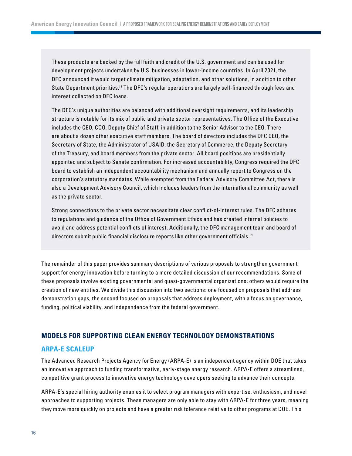<span id="page-15-0"></span>These products are backed by the full faith and credit of the U.S. government and can be used for development projects undertaken by U.S. businesses in lower-income countries. In April 2021, the DFC announced it would target climate mitigation, adaptation, and other solutions, in addition to other State Department priorities.<sup>18</sup> The DFC's regular operations are largely self-financed through fees and interest collected on DFC loans.

The DFC's unique authorities are balanced with additional oversight requirements, and its leadership structure is notable for its mix of public and private sector representatives. The Office of the Executive includes the CEO, COO, Deputy Chief of Staff, in addition to the Senior Advisor to the CEO. There are about a dozen other executive staff members. The board of directors includes the DFC CEO, the Secretary of State, the Administrator of USAID, the Secretary of Commerce, the Deputy Secretary of the Treasury, and board members from the private sector. All board positions are presidentially appointed and subject to Senate confirmation. For increased accountability, Congress required the DFC board to establish an independent accountability mechanism and annually report to Congress on the corporation's statutory mandates. While exempted from the Federal Advisory Committee Act, there is also a Development Advisory Council, which includes leaders from the international community as well as the private sector.

Strong connections to the private sector necessitate clear conflict-of-interest rules. The DFC adheres to regulations and guidance of the Office of Government Ethics and has created internal policies to avoid and address potential conflicts of interest. Additionally, the DFC management team and board of directors submit public financial disclosure reports like other government officials.<sup>19</sup>

The remainder of this paper provides summary descriptions of various proposals to strengthen government support for energy innovation before turning to a more detailed discussion of our recommendations. Some of these proposals involve existing governmental and quasi-governmental organizations; others would require the creation of new entities. We divide this discussion into two sections: one focused on proposals that address demonstration gaps, the second focused on proposals that address deployment, with a focus on governance, funding, political viability, and independence from the federal government.

#### **MODELS FOR SUPPORTING CLEAN ENERGY TECHNOLOGY DEMONSTRATIONS**

#### **ARPA-E SCALEUP**

The Advanced Research Projects Agency for Energy (ARPA-E) is an independent agency within DOE that takes an innovative approach to funding transformative, early-stage energy research. ARPA-E offers a streamlined, competitive grant process to innovative energy technology developers seeking to advance their concepts.

ARPA-E's special hiring authority enables it to select program managers with expertise, enthusiasm, and novel approaches to supporting projects. These managers are only able to stay with ARPA-E for three years, meaning they move more quickly on projects and have a greater risk tolerance relative to other programs at DOE. This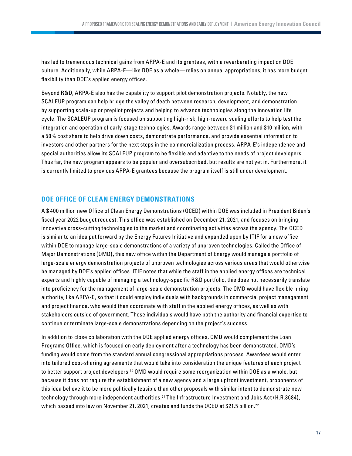<span id="page-16-0"></span>has led to tremendous technical gains from ARPA-E and its grantees, with a reverberating impact on DOE culture. Additionally, while ARPA-E—like DOE as a whole—relies on annual appropriations, it has more budget flexibility than DOE's applied energy offices.

Beyond R&D, ARPA-E also has the capability to support pilot demonstration projects. Notably, the new SCALEUP program can help bridge the valley of death between research, development, and demonstration by supporting scale-up or prepilot projects and helping to advance technologies along the innovation life cycle. The SCALEUP program is focused on supporting high-risk, high-reward scaling efforts to help test the integration and operation of early-stage technologies. Awards range between \$1 million and \$10 million, with a 50% cost share to help drive down costs, demonstrate performance, and provide essential information to investors and other partners for the next steps in the commercialization process. ARPA-E's independence and special authorities allow its SCALEUP program to be flexible and adaptive to the needs of project developers. Thus far, the new program appears to be popular and oversubscribed, but results are not yet in. Furthermore, it is currently limited to previous ARPA-E grantees because the program itself is still under development.

#### **DOE OFFICE OF CLEAN ENERGY DEMONSTRATIONS**

A \$ 400 million new Office of Clean Energy Demonstrations (OCED) within DOE was included in President Biden's fiscal year 2022 budget request. This office was established on December 21, 2021, and focuses on bringing innovative cross-cutting technologies to the market and coordinating activities across the agency. The OCED is similar to an idea put forward by the Energy Futures Initiative and expanded upon by ITIF for a new office within DOE to manage large-scale demonstrations of a variety of unproven technologies. Called the Office of Major Demonstrations (OMD), this new office within the Department of Energy would manage a portfolio of large-scale energy demonstration projects of unproven technologies across various areas that would otherwise be managed by DOE's applied offices. ITIF notes that while the staff in the applied energy offices are technical experts and highly capable of managing a technology-specific R&D portfolio, this does not necessarily translate into proficiency for the management of large-scale demonstration projects. The OMD would have flexible hiring authority, like ARPA-E, so that it could employ individuals with backgrounds in commercial project management and project finance, who would then coordinate with staff in the applied energy offices, as well as with stakeholders outside of government. These individuals would have both the authority and financial expertise to continue or terminate large-scale demonstrations depending on the project's success.

In addition to close collaboration with the DOE applied energy offices, OMD would complement the Loan Programs Office, which is focused on early deployment after a technology has been demonstrated. OMD's funding would come from the standard annual congressional appropriations process. Awardees would enter into tailored cost-sharing agreements that would take into consideration the unique features of each project to better support project developers.[20](#page-28-0) OMD would require some reorganization within DOE as a whole, but because it does not require the establishment of a new agency and a large upfront investment, proponents of this idea believe it to be more politically feasible than other proposals with similar intent to demonstrate new technology through more independent authorities.<sup>[21](#page-28-0)</sup> The Infrastructure Investment and Jobs Act (H.R.3684), which passed into law on November 21, 2021, creates and funds the OCED at \$21.5 billion.<sup>[22](#page-28-0)</sup>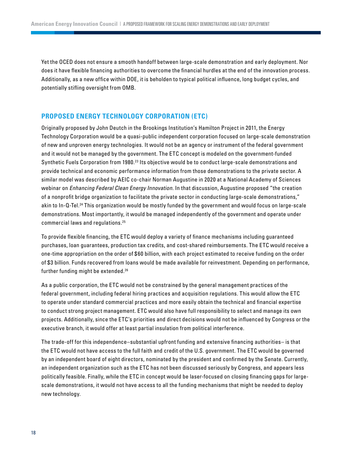<span id="page-17-0"></span>Yet the OCED does not ensure a smooth handoff between large-scale demonstration and early deployment. Nor does it have flexible financing authorities to overcome the financial hurdles at the end of the innovation process. Additionally, as a new office within DOE, it is beholden to typical political influence, long budget cycles, and potentially stifling oversight from OMB.

#### **PROPOSED ENERGY TECHNOLOGY CORPORATION (ETC)**

Originally proposed by John Deutch in the Brookings Institution's Hamilton Project in 2011, the Energy Technology Corporation would be a quasi-public independent corporation focused on large-scale demonstration of new and unproven energy technologies. It would not be an agency or instrument of the federal government and it would not be managed by the government. The ETC concept is modeled on the government-funded Synthetic Fuels Corporation from 1980.<sup>23</sup> Its objective would be to conduct large-scale demonstrations and provide technical and economic performance information from those demonstrations to the private sector. A similar model was described by AEIC co-chair Norman Augustine in 2020 at a National Academy of Sciences webinar on *Enhancing Federal Clean Energy Innovation*. In that discussion, Augustine proposed "the creation of a nonprofit bridge organization to facilitate the private sector in conducting large-scale demonstrations," akin to In-Q-Tel.[24](#page-28-0) This organization would be mostly funded by the government and would focus on large-scale demonstrations. Most importantly, it would be managed independently of the government and operate under commercial laws and regulations.[25](#page-28-0)

To provide flexible financing, the ETC would deploy a variety of finance mechanisms including guaranteed purchases, loan guarantees, production tax credits, and cost-shared reimbursements. The ETC would receive a one-time appropriation on the order of \$ 60 billion, with each project estimated to receive funding on the order of \$3 billion. Funds recovered from loans would be made available for reinvestment. Depending on performance, further funding might be extended.[26](#page-28-0)

As a public corporation, the ETC would not be constrained by the general management practices of the federal government, including federal hiring practices and acquisition regulations. This would allow the ETC to operate under standard commercial practices and more easily obtain the technical and financial expertise to conduct strong project management. ETC would also have full responsibility to select and manage its own projects. Additionally, since the ETC's priorities and direct decisions would not be influenced by Congress or the executive branch, it would offer at least partial insulation from political interference.

The trade-off for this independence–substantial upfront funding and extensive financing authorities– is that the ETC would not have access to the full faith and credit of the U.S. government. The ETC would be governed by an independent board of eight directors, nominated by the president and confirmed by the Senate. Currently, an independent organization such as the ETC has not been discussed seriously by Congress, and appears less politically feasible. Finally, while the ETC in concept would be laser-focused on closing financing gaps for largescale demonstrations, it would not have access to all the funding mechanisms that might be needed to deploy new technology.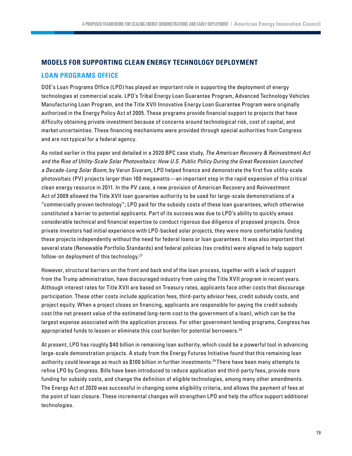## <span id="page-18-0"></span>**MODELS FOR SUPPORTING CLEAN ENERGY TECHNOLOGY DEPLOYMENT**

## **LOAN PROGRAMS OFFICE**

DOE's Loan Programs Office (LPO) has played an important role in supporting the deployment of energy technologies at commercial scale. LPO's Tribal Energy Loan Guarantee Program, Advanced Technology Vehicles Manufacturing Loan Program, and the Title XVII Innovative Energy Loan Guarantee Program were originally authorized in the Energy Policy Act of 2005. These programs provide financial support to projects that have difficulty obtaining private investment because of concerns around technological risk, cost of capital, and market uncertainties. These financing mechanisms were provided through special authorities from Congress and are not typical for a federal agency.

As noted earlier in this paper and detailed in a 2020 BPC case study, *The American Recovery & Reinvestment Act and the Rise of Utility-Scale Solar Photovoltaics: How U.S. Public Policy During the Great Recession Launched a Decade-Long Solar Boom*, by Varun Sivaram, LPO helped finance and demonstrate the first five utility-scale photovoltaic (PV) projects larger than 100 megawatts—an important step in the rapid expansion of this critical clean energy resource in 2011. In the PV case, a new provision of American Recovery and Reinvestment Act of 2009 allowed the Title XVII loan guarantee authority to be used for large-scale demonstrations of a "commercially proven technology"; LPO paid for the subsidy costs of these loan guarantees, which otherwise constituted a barrier to potential applicants. Part of its success was due to LPO's ability to quickly amass considerable technical and financial expertise to conduct rigorous due diligence of proposed projects. Once private investors had initial experience with LPO-backed solar projects, they were more comfortable funding these projects independently without the need for federal loans or loan guarantees. It was also important that several state (Renewable Portfolio Standards) and federal policies (tax credits) were aligned to help support follow-on deployment of this technology.[27](#page-28-0)

However, structural barriers on the front and back end of the loan process, together with a lack of support from the Trump administration, have discouraged industry from using the Title XVII program in recent years. Although interest rates for Title XVII are based on Treasury rates, applicants face other costs that discourage participation. These other costs include application fees, third-party advisor fees, credit subsidy costs, and project equity. When a project closes on financing, applicants are responsible for paying the credit subsidy cost (the net present value of the estimated long-term cost to the government of a loan), which can be the largest expense associated with the application process. For other government lending programs, Congress has appropriated funds to lessen or eliminate this cost burden for potential borrowers.<sup>[28](#page-29-0)</sup>

At present, LPO has roughly \$40 billion in remaining loan authority, which could be a powerful tool in advancing large-scale demonstration projects. A study from the Energy Futures Initiative found that this remaining loan authority could leverage as much as \$100 billion in further investments.[29](#page-29-0) There have been many attempts to refine LPO by Congress. Bills have been introduced to reduce application and third-party fees, provide more funding for subsidy costs, and change the definition of eligible technologies, among many other amendments. The Energy Act of 2020 was successful in changing some eligibility criteria, and allows the payment of fees at the point of loan closure. These incremental changes will strengthen LPO and help the office support additional technologies.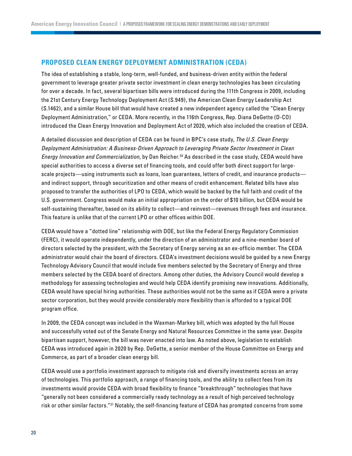#### <span id="page-19-0"></span>**PROPOSED CLEAN ENERGY DEPLOYMENT ADMINISTRATION (CEDA)**

The idea of establishing a stable, long-term, well-funded, and business-driven entity within the federal government to leverage greater private sector investment in clean energy technologies has been circulating for over a decade. In fact, several bipartisan bills were introduced during the 111th Congress in 2009, including the 21st Century Energy Technology Deployment Act (S.949), the American Clean Energy Leadership Act (S.1462), and a similar House bill that would have created a new independent agency called the "Clean Energy Deployment Administration," or CEDA. More recently, in the 116th Congress, Rep. Diana DeGette (D-CO) introduced the Clean Energy Innovation and Deployment Act of 2020, which also included the creation of CEDA.

A detailed discussion and description of CEDA can be found in BPC's case study, *The U.S. Clean Energy Deployment Administration: A Business-Driven Approach to Leveraging Private Sector Investment in Clean Energy Innovation and Commercialization*, by Dan Reicher.[30](#page-29-0) As described in the case study, CEDA would have special authorities to access a diverse set of financing tools, and could offer both direct support for largescale projects—using instruments such as loans, loan guarantees, letters of credit, and insurance products and indirect support, through securitization and other means of credit enhancement. Related bills have also proposed to transfer the authorities of LPO to CEDA, which would be backed by the full faith and credit of the U.S. government. Congress would make an initial appropriation on the order of \$10 billion, but CEDA would be self-sustaining thereafter, based on its ability to collect—and reinvest—revenues through fees and insurance. This feature is unlike that of the current LPO or other offices within DOE.

CEDA would have a "dotted line" relationship with DOE, but like the Federal Energy Regulatory Commission (FERC), it would operate independently, under the direction of an administrator and a nine-member board of directors selected by the president, with the Secretary of Energy serving as an ex-officio member. The CEDA administrator would chair the board of directors. CEDA's investment decisions would be guided by a new Energy Technology Advisory Council that would include five members selected by the Secretary of Energy and three members selected by the CEDA board of directors. Among other duties, the Advisory Council would develop a methodology for assessing technologies and would help CEDA identify promising new innovations. Additionally, CEDA would have special hiring authorities. These authorities would not be the same as if CEDA were a private sector corporation, but they would provide considerably more flexibility than is afforded to a typical DOE program office.

In 2009, the CEDA concept was included in the Waxman-Markey bill, which was adopted by the full House and successfully voted out of the Senate Energy and Natural Resources Committee in the same year. Despite bipartisan support, however, the bill was never enacted into law. As noted above, legislation to establish CEDA was introduced again in 2020 by Rep. DeGette, a senior member of the House Committee on Energy and Commerce, as part of a broader clean energy bill.

CEDA would use a portfolio investment approach to mitigate risk and diversify investments across an array of technologies. This portfolio approach, a range of financing tools, and the ability to collect fees from its investments would provide CEDA with broad flexibility to finance "breakthrough" technologies that have "generally not been considered a commercially ready technology as a result of high perceived technology risk or other similar factors."[31](#page-29-0) Notably, the self-financing feature of CEDA has prompted concerns from some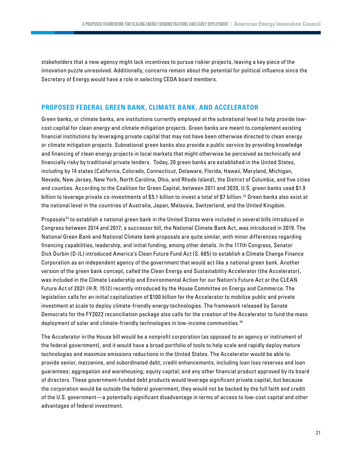<span id="page-20-0"></span>stakeholders that a new agency might lack incentives to pursue riskier projects, leaving a key piece of the innovation puzzle unresolved. Additionally, concerns remain about the potential for political influence since the Secretary of Energy would have a role in selecting CEDA board members.

#### **PROPOSED FEDERAL GREEN BANK, CLIMATE BANK, AND ACCELERATOR**

Green banks, or climate banks, are institutions currently employed at the subnational level to help provide lowcost capital for clean energy and climate mitigation projects. Green banks are meant to complement existing financial institutions by leveraging private capital that may not have been otherwise directed to clean energy or climate mitigation projects. Subnational green banks also provide a public service by providing knowledge and financing of clean energy projects in local markets that might otherwise be perceived as technically and financially risky by traditional private lenders. Today, 20 green banks are established in the United States, including by 14 states (California, Colorado, Connecticut, Delaware, Florida, Hawaii, Maryland, Michigan, Nevada, New Jersey, New York, North Carolina, Ohio, and Rhode Island), the District of Columbia, and five cities and counties. According to the Coalition for Green Capital, between 2011 and 2020, U.S. green banks used \$1.9 billion to leverage private co-investments of \$5.1 billion to invest a total of \$7 billion.<sup>[32](#page-29-0)</sup> Green banks also exist at the national level in the countries of Australia, Japan, Malaysia, Switzerland, and the United Kingdom.

Proposals<sup>33</sup> to establish a national green bank in the United States were included in several bills introduced in Congress between 2014 and 2017; a successor bill, the National Climate Bank Act, was introduced in 2019. The National Green Bank and National Climate bank proposals are quite similar, with minor differences regarding financing capabilities, leadership, and initial funding, among other details. In the 117th Congress, Senator Dick Durbin (D-IL) introduced America's Clean Future Fund Act (S. 685) to establish a Climate Change Finance Corporation as an independent agency of the government that would act like a national green bank. Another version of the green bank concept, called the Clean Energy and Sustainability Accelerator (the Accelerator), was included in the Climate Leadership and Environmental Action for our Nation's Future Act or the CLEAN Future Act of 2021 (H.R. 1512) recently introduced by the House Committee on Energy and Commerce. The legislation calls for an initial capitalization of \$100 billion for the Accelerator to mobilize public and private investment at scale to deploy climate-friendly energy technologies. The framework released by Senate Democrats for the FY2022 reconciliation package also calls for the creation of the Accelerator to fund the mass deployment of solar and climate-friendly technologies in low-income communities.<sup>[34](#page-29-0)</sup>

The Accelerator in the House bill would be a nonprofit corporation (as opposed to an agency or instrument of the federal government), and it would have a broad portfolio of tools to help scale and rapidly deploy mature technologies and maximize emissions reductions in the United States. The Accelerator would be able to provide senior, mezzanine, and subordinated debt; credit enhancements, including loan loss reserves and loan guarantees; aggregation and warehousing; equity capital; and any other financial product approved by its board of directors. These government-funded debt products would leverage significant private capital, but because the corporation would be outside the federal government, they would not be backed by the full faith and credit of the U.S. government—a potentially significant disadvantage in terms of access to low-cost capital and other advantages of federal investment.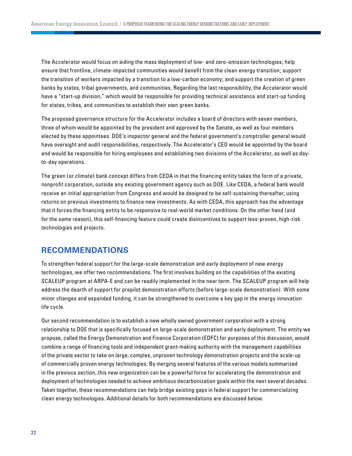The Accelerator would focus on aiding the mass deployment of low- and zero-emission technologies; help ensure that frontline, climate-impacted communities would benefit from the clean energy transition; support the transition of workers impacted by a transition to a low-carbon economy; and support the creation of green banks by states, tribal governments, and communities. Regarding the last responsibility, the Accelerator would have a "start-up division," which would be responsible for providing technical assistance and start-up funding for states, tribes, and communities to establish their own green banks.

The proposed governance structure for the Accelerator includes a board of directors with seven members, three of whom would be appointed by the president and approved by the Senate, as well as four members elected by these appointees. DOE's inspector general and the federal government's comptroller general would have oversight and audit responsibilities, respectively. The Accelerator's CEO would be appointed by the board and would be responsible for hiring employees and establishing two divisions of the Accelerator, as well as dayto-day operations.

The green (or climate) bank concept differs from CEDA in that the financing entity takes the form of a private, nonprofit corporation, outside any existing government agency such as DOE. Like CEDA, a federal bank would receive an initial appropriation from Congress and would be designed to be self-sustaining thereafter, using returns on previous investments to finance new investments. As with CEDA, this approach has the advantage that it forces the financing entity to be responsive to real-world market conditions. On the other hand (and for the same reason), this self-financing feature could create disincentives to support less-proven, high-risk technologies and projects.

## **RECOMMENDATIONS**

To strengthen federal support for the large-scale demonstration and early deployment of new energy technologies, we offer two recommendations. The first involves building on the capabilities of the existing SCALEUP program at ARPA-E and can be readily implemented in the near term. The SCALEUP program will help address the dearth of support for prepilot demonstration efforts (before large-scale demonstration). With some minor changes and expanded funding, it can be strengthened to overcome a key gap in the energy innovation life cycle.

Our second recommendation is to establish a new wholly owned government corporation with a strong relationship to DOE that is specifically focused on large-scale demonstration and early deployment. The entity we propose, called the Energy Demonstration and Finance Corporation (EDFC) for purposes of this discussion, would combine a range of financing tools and independent grant-making authority with the management capabilities of the private sector to take on large, complex, unproven technology demonstration projects and the scale-up of commercially proven energy technologies. By merging several features of the various models summarized in the previous section, this new organization can be a powerful force for accelerating the demonstration and deployment of technologies needed to achieve ambitious decarbonization goals within the next several decades. Taken together, these recommendations can help bridge existing gaps in federal support for commercializing clean energy technologies. Additional details for both recommendations are discussed below.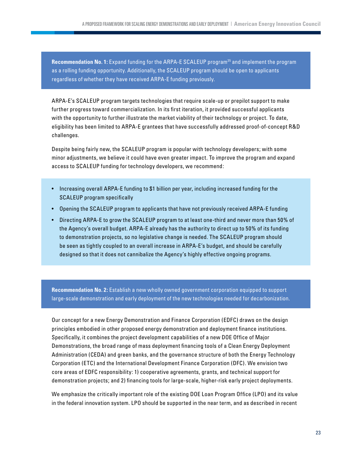<span id="page-22-0"></span>**Recommendation No. 1:** Expand funding for the ARPA-E SCALEUP program<sup>35</sup> and implement the program as a rolling funding opportunity. Additionally, the SCALEUP program should be open to applicants regardless of whether they have received ARPA-E funding previously.

ARPA-E's SCALEUP program targets technologies that require scale-up or prepilot support to make further progress toward commercialization. In its first iteration, it provided successful applicants with the opportunity to further illustrate the market viability of their technology or project. To date, eligibility has been limited to ARPA-E grantees that have successfully addressed proof-of-concept R&D challenges.

Despite being fairly new, the SCALEUP program is popular with technology developers; with some minor adjustments, we believe it could have even greater impact. To improve the program and expand access to SCALEUP funding for technology developers, we recommend:

- Increasing overall ARPA-E funding to \$1 billion per year, including increased funding for the SCALEUP program specifically
- Opening the SCALEUP program to applicants that have not previously received ARPA-E funding
- Directing ARPA-E to grow the SCALEUP program to at least one-third and never more than 50% of the Agency's overall budget. ARPA-E already has the authority to direct up to 50% of its funding to demonstration projects, so no legislative change is needed. The SCALEUP program should be seen as tightly coupled to an overall increase in ARPA-E's budget, and should be carefully designed so that it does not cannibalize the Agency's highly effective ongoing programs.

**Recommendation No. 2:** Establish a new wholly owned government corporation equipped to support large-scale demonstration and early deployment of the new technologies needed for decarbonization.

Our concept for a new Energy Demonstration and Finance Corporation (EDFC) draws on the design principles embodied in other proposed energy demonstration and deployment finance institutions. Specifically, it combines the project development capabilities of a new DOE Office of Major Demonstrations, the broad range of mass deployment financing tools of a Clean Energy Deployment Administration (CEDA) and green banks, and the governance structure of both the Energy Technology Corporation (ETC) and the International Development Finance Corporation (DFC). We envision two core areas of EDFC responsibility: 1) cooperative agreements, grants, and technical support for demonstration projects; and 2) financing tools for large-scale, higher-risk early project deployments.

We emphasize the critically important role of the existing DOE Loan Program Office (LPO) and its value in the federal innovation system. LPO should be supported in the near term, and as described in recent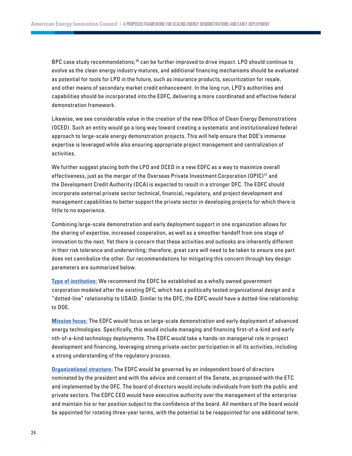<span id="page-23-0"></span>BPC case study recommendations,<sup>36</sup> can be further improved to drive impact. LPO should continue to evolve as the clean energy industry matures, and additional financing mechanisms should be evaluated as potential for tools for LPO in the future, such as insurance products, securitization for resale, and other means of secondary market credit enhancement. In the long run, LPO's authorities and capabilities should be incorporated into the EDFC, delivering a more coordinated and effective federal demonstration framework.

Likewise, we see considerable value in the creation of the new Office of Clean Energy Demonstrations (OCED). Such an entity would go a long way toward creating a systematic and institutionalized federal approach to large-scale energy demonstration projects. This will help ensure that DOE's immense expertise is leveraged while also ensuring appropriate project management and centralization of activities.

We further suggest placing both the LPO and OCED in a new EDFC as a way to maximize overall effectiveness, just as the merger of the Overseas Private Investment Corporation (OPIC)<sup>[37](#page-29-0)</sup> and the Development Credit Authority (DCA) is expected to result in a stronger DFC. The EDFC should incorporate external private sector technical, financial, regulatory, and project development and management capabilities to better support the private sector in developing projects for which there is little to no experience.

Combining large-scale demonstration and early deployment support in one organization allows for the sharing of expertise, increased cooperation, as well as a smoother handoff from one stage of innovation to the next. Yet there is concern that these activities and outlooks are inherently different in their risk tolerance and underwriting; therefore, great care will need to be taken to ensure one part does not cannibalize the other. Our recommendations for mitigating this concern through key design parameters are summarized below.

**Type of institution:** We recommend the EDFC be established as a wholly owned government corporation modeled after the existing DFC, which has a politically tested organizational design and a "dotted-line" relationship to USAID. Similar to the DFC, the EDFC would have a dotted-line relationship to DOE.

**Mission focus:** The EDFC would focus on large-scale demonstration and early deployment of advanced energy technologies. Specifically, this would include managing and financing first-of-a-kind and early nth-of-a-kind technology deployments. The EDFC would take a hands-on managerial role in project development and financing, leveraging strong private-sector participation in all its activities, including a strong understanding of the regulatory process.

**Organizational structure:** The EDFC would be governed by an independent board of directors nominated by the president and with the advice and consent of the Senate, as proposed with the ETC and implemented by the DFC. The board of directors would include individuals from both the public and private sectors. The EDFC CEO would have executive authority over the management of the enterprise and maintain his or her position subject to the confidence of the board. All members of the board would be appointed for rotating three-year terms, with the potential to be reappointed for one additional term.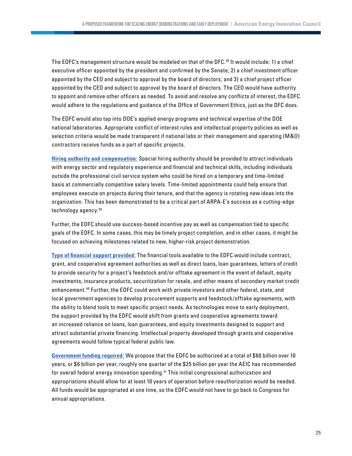<span id="page-24-0"></span>The EDFC's management structure would be modeled on that of the DFC.[38](#page-29-0) It would include: 1) a chief executive officer appointed by the president and confirmed by the Senate; 2) a chief investment officer appointed by the CEO and subject to approval by the board of directors; and 3) a chief project officer appointed by the CEO and subject to approval by the board of directors. The CEO would have authority to appoint and remove other officers as needed. To avoid and resolve any conflicts of interest, the EDFC would adhere to the regulations and guidance of the Office of Government Ethics, just as the DFC does.

The EDFC would also tap into DOE's applied energy programs and technical expertise of the DOE national laboratories. Appropriate conflict of interest rules and intellectual property policies as well as selection criteria would be made transparent if national labs or their management and operating (M&O) contractors receive funds as a part of specific projects.

**Hiring authority and compensation:** Special hiring authority should be provided to attract individuals with energy sector and regulatory experience and financial and technical skills, including individuals outside the professional civil service system who could be hired on a temporary and time-limited basis at commercially competitive salary levels. Time-limited appointments could help ensure that employees execute on projects during their tenure, and that the agency is rotating new ideas into the organization. This has been demonstrated to be a critical part of ARPA-E's success as a cutting-edge technology agency.[39](#page-29-0)

Further, the EDFC should use success-based incentive pay as well as compensation tied to specific goals of the EDFC. In some cases, this may be timely project completion, and in other cases, it might be focused on achieving milestones related to new, higher-risk project demonstration.

**Type of financial support provided:** The financial tools available to the EDFC would include contract, grant, and cooperative agreement authorities as well as direct loans, loan guarantees, letters of credit to provide security for a project's feedstock and/or offtake agreement in the event of default, equity investments, insurance products, securitization for resale, and other means of secondary market credit enhancement.[40](#page-29-0) Further, the EDFC could work with private investors and other federal, state, and local government agencies to develop procurement supports and feedstock/offtake agreements, with the ability to blend tools to meet specific project needs. As technologies move to early deployment, the support provided by the EDFC would shift from grants and cooperative agreements toward an increased reliance on loans, loan guarantees, and equity investments designed to support and attract substantial private financing. Intellectual property developed through grants and cooperative agreements would follow typical federal public law.

**Government funding required:** We propose that the EDFC be authorized at a total of \$ 60 billion over 10 years, or \$6 billion per year, roughly one quarter of the \$25 billion per year the AEIC has recommended for overall federal energy innovation spending.<sup>[41](#page-30-0)</sup> This initial congressional authorization and appropriations should allow for at least 10 years of operation before reauthorization would be needed. All funds would be appropriated at one time, so the EDFC would not have to go back to Congress for annual appropriations.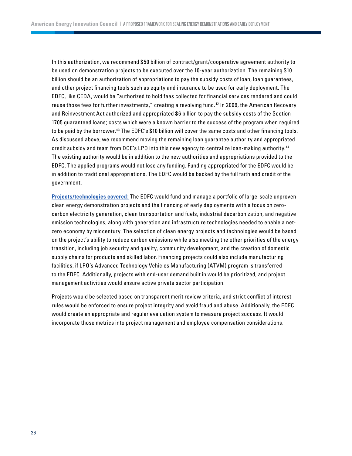<span id="page-25-0"></span>In this authorization, we recommend \$50 billion of contract/grant/cooperative agreement authority to be used on demonstration projects to be executed over the 10-year authorization. The remaining \$10 billion should be an authorization of appropriations to pay the subsidy costs of loan, loan guarantees, and other project financing tools such as equity and insurance to be used for early deployment. The EDFC, like CEDA, would be "authorized to hold fees collected for financial services rendered and could reuse those fees for further investments," creating a revolving fund.<sup>42</sup> In 2009, the American Recovery and Reinvestment Act authorized and appropriated \$6 billion to pay the subsidy costs of the Section 1705 guaranteed loans; costs which were a known barrier to the success of the program when required to be paid by the borrower.<sup>[43](#page-30-0)</sup> The EDFC's \$10 billion will cover the same costs and other financing tools. As discussed above, we recommend moving the remaining loan guarantee authority and appropriated credit subsidy and team from DOE's LPO into this new agency to centralize loan-making authority.[44](#page-30-0) The existing authority would be in addition to the new authorities and appropriations provided to the EDFC. The applied programs would not lose any funding. Funding appropriated for the EDFC would be in addition to traditional appropriations. The EDFC would be backed by the full faith and credit of the government.

**Projects/technologies covered:** The EDFC would fund and manage a portfolio of large-scale unproven clean energy demonstration projects and the financing of early deployments with a focus on zerocarbon electricity generation, clean transportation and fuels, industrial decarbonization, and negative emission technologies, along with generation and infrastructure technologies needed to enable a netzero economy by midcentury. The selection of clean energy projects and technologies would be based on the project's ability to reduce carbon emissions while also meeting the other priorities of the energy transition, including job security and quality, community development, and the creation of domestic supply chains for products and skilled labor. Financing projects could also include manufacturing facilities, if LPO's Advanced Technology Vehicles Manufacturing (ATVM) program is transferred to the EDFC. Additionally, projects with end-user demand built in would be prioritized, and project management activities would ensure active private sector participation.

Projects would be selected based on transparent merit review criteria, and strict conflict of interest rules would be enforced to ensure project integrity and avoid fraud and abuse. Additionally, the EDFC would create an appropriate and regular evaluation system to measure project success. It would incorporate those metrics into project management and employee compensation considerations.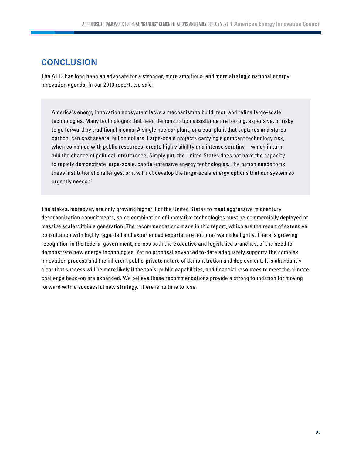# <span id="page-26-0"></span>**CONCLUSION**

The AEIC has long been an advocate for a stronger, more ambitious, and more strategic national energy innovation agenda. In our 2010 report, we said:

America's energy innovation ecosystem lacks a mechanism to build, test, and refine large-scale technologies. Many technologies that need demonstration assistance are too big, expensive, or risky to go forward by traditional means. A single nuclear plant, or a coal plant that captures and stores carbon, can cost several billion dollars. Large-scale projects carrying significant technology risk, when combined with public resources, create high visibility and intense scrutiny—which in turn add the chance of political interference. Simply put, the United States does not have the capacity to rapidly demonstrate large-scale, capital-intensive energy technologies. The nation needs to fix these institutional challenges, or it will not develop the large-scale energy options that our system so urgently needs.[45](#page-30-0)

The stakes, moreover, are only growing higher. For the United States to meet aggressive midcentury decarbonization commitments, some combination of innovative technologies must be commercially deployed at massive scale within a generation. The recommendations made in this report, which are the result of extensive consultation with highly regarded and experienced experts, are not ones we make lightly. There is growing recognition in the federal government, across both the executive and legislative branches, of the need to demonstrate new energy technologies. Yet no proposal advanced to-date adequately supports the complex innovation process and the inherent public-private nature of demonstration and deployment. It is abundantly clear that success will be more likely if the tools, public capabilities, and financial resources to meet the climate challenge head-on are expanded. We believe these recommendations provide a strong foundation for moving forward with a successful new strategy. There is no time to lose.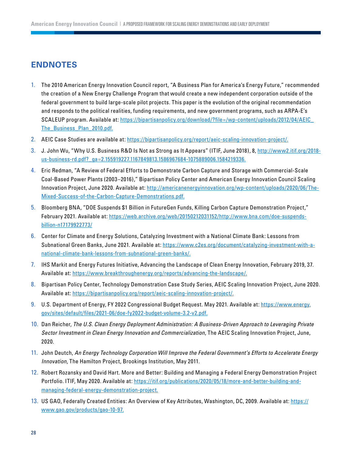## <span id="page-27-0"></span>**ENDNOTES**

- 1. [T](#page-6-0)he 2010 American Energy Innovation Council report, "A Business Plan for America's Energy Future," recommended the creation of a New Energy Challenge Program that would create a new independent corporation outside of the federal government to build large-scale pilot projects. This paper is the evolution of the original recommendation and responds to the political realities, funding requirements, and new government programs, such as ARPA-E's SCALEUP program. Available at: [https://bipartisanpolicy.org/download/?file=/wp-content/uploads/2012/04/AEIC\\_](https://bipartisanpolicy.org/download/?file=/wp-content/uploads/2012/04/AEIC_The_Business_Plan_2010.) [The\\_Business\\_Plan\\_2010.pdf.](https://bipartisanpolicy.org/download/?file=/wp-content/uploads/2012/04/AEIC_The_Business_Plan_2010.)
- 2. [AE](#page-8-0)IC Case Studies are available at:<https://bipartisanpolicy.org/report/aeic-scaling-innovation-project/.>
- 3. [J](#page-10-0). John Wu, "Why U.S. Business R&D Is Not as Strong as It Appears" (ITIF, June 2018), 8, [http://www2.itif.org/2018](http://www2.itif.org/2018-us-business-rd.pdf?_ga=2.155919227.1167849813.1586967684-1075889006.1584219336.) [us-business-rd.pdf?\\_ga=2.155919227.1167849813.1586967684-1075889006.1584219336.](http://www2.itif.org/2018-us-business-rd.pdf?_ga=2.155919227.1167849813.1586967684-1075889006.1584219336.)
- 4. [E](#page-11-0)ric Redman, "A Review of Federal Efforts to Demonstrate Carbon Capture and Storage with Commercial-Scale Coal-Based Power Plants (2003–2016)," Bipartisan Policy Center and American Energy Innovation Council Scaling Innovation Project, June 2020. Available at: [http://americanenergyinnovation.org/wp-content/uploads/2020/06/The-](http://americanenergyinnovation.org/wp-content/uploads/2020/06/The-Mixed-Success-of-the-Carbon-Capture-Demonstrations.pdf.)[Mixed-Success-of-the-Carbon-Capture-Demonstrations.pdf.](http://americanenergyinnovation.org/wp-content/uploads/2020/06/The-Mixed-Success-of-the-Carbon-Capture-Demonstrations.pdf.)
- 5. [B](#page-12-0)loomberg BNA, "DOE Suspends \$1 Billion in FutureGen Funds, Killing Carbon Capture Demonstration Project," February 2021. Available at: [https://web.archive.org/web/20150212031152/http://www.bna.com/doe-suspends](https://web.archive.org/web/20150212031152/http://www.bna.com/doe-suspends-billion-n17179922773/)[billion-n17179922773/](https://web.archive.org/web/20150212031152/http://www.bna.com/doe-suspends-billion-n17179922773/)
- 6. [Ce](#page-13-0)nter for Climate and Energy Solutions, Catalyzing Investment with a National Climate Bank: Lessons from Subnational Green Banks, June 2021. Available at: [https://www.c2es.org/document/catalyzing-investment-with-a](https://www.c2es.org/document/catalyzing-investment-with-a-national-climate-bank-lessons-from-subnational-green-banks/.)[national-climate-bank-lessons-from-subnational-green-banks/.](https://www.c2es.org/document/catalyzing-investment-with-a-national-climate-bank-lessons-from-subnational-green-banks/.)
- 7. [IH](#page-13-0)S Markit and Energy Futures Initiative, Advancing the Landscape of Clean Energy Innovation, February 2019, 37. Available at:<https://www.breakthroughenergy.org/reports/advancing-the-landscape/.>
- 8. [B](#page-13-0)ipartisan Policy Center, Technology Demonstration Case Study Series, AEIC Scaling Innovation Project, June 2020. Available at:<https://bipartisanpolicy.org/report/aeic-scaling-innovation-project/.>
- 9. [U](#page-13-0).S. Department of Energy, FY 2022 Congressional Budget Request. May 2021. Available at: [https://www.energy.](https://www.energy.gov/sites/default/files/2021-06/doe-fy2022-budget-volume-3.2-v2.pdf) [gov/sites/default/files/2021-06/doe-fy2022-budget-volume-3.2-v2.pdf.](https://www.energy.gov/sites/default/files/2021-06/doe-fy2022-budget-volume-3.2-v2.pdf)
- 10. [D](#page-13-0)an Reicher, *The U.S. Clean Energy Deployment Administration: A Business-Driven Approach to Leveraging Private Sector Investment in Clean Energy Innovation and Commercialization*, The AEIC Scaling Innovation Project, June, 2020.
- 11. [J](#page-13-0)ohn Deutch, *An Energy Technology Corporation Will Improve the Federal Government's Efforts to Accelerate Energy Innovation*, The Hamilton Project, Brookings Institution, May 2011.
- 12. [Ro](#page-14-0)bert Rozansky and David Hart. More and Better: Building and Managing a Federal Energy Demonstration Project Portfolio. ITIF, May 2020. Available at: [https://itif.org/publications/2020/05/18/more-and-better-building-and](https://itif.org/publications/2020/05/18/more-and-better-building-and-managing-federal-energy-demonstration-project.)[managing-federal-energy-demonstration-project.](https://itif.org/publications/2020/05/18/more-and-better-building-and-managing-federal-energy-demonstration-project.)
- 13. [U](#page-14-0)S GAO, Federally Created Entities: An Overview of Key Attributes, Washington, DC, 2009. Available at: [https://](https://www.gao.gov/products/gao-10-97) [www.gao.gov/products/gao-10-97.](https://www.gao.gov/products/gao-10-97)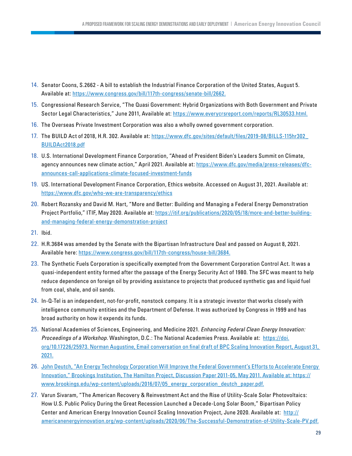- <span id="page-28-0"></span>14. [Se](#page-14-0)nator Coons, S.2662 - A bill to establish the Industrial Finance Corporation of the United States, August 5. Available at: [https://www.congress.gov/bill/117th-congress/senate-bill/2662.](https://www.congress.gov/bill/117th-congress/senate-bill/2662)
- 15. [Co](#page-14-0)ngressional Research Service, "The Quasi Government: Hybrid Organizations with Both Government and Private Sector Legal Characteristics," June 2011, Available at: [https://www.everycrsreport.com/reports/RL30533.html.](https://www.everycrsreport.com/reports/RL30533.html)
- 16. [T](#page-14-0)he Overseas Private Investment Corporation was also a wholly owned government corporation.
- 17. [T](#page-14-0)he BUILD Act of 2018, H.R. 302. Available at: [https://www.dfc.gov/sites/default/files/2019-08/BILLS-115hr302\\_](https://www.dfc.gov/sites/default/files/2019-08/BILLS-115hr302_BUILDAct2018.pdf) [BUILDAct2018.pdf](https://www.dfc.gov/sites/default/files/2019-08/BILLS-115hr302_BUILDAct2018.pdf)
- 18. [U](#page-15-0).S. International Development Finance Corporation, "Ahead of President Biden's Leaders Summit on Climate, agency announces new climate action," April 2021. Available at: [https://www.dfc.gov/media/press-releases/dfc](https://www.dfc.gov/media/press-releases/dfc-announces-call-applications-climate-focused-investment-funds)[announces-call-applications-climate-focused-investment-funds](https://www.dfc.gov/media/press-releases/dfc-announces-call-applications-climate-focused-investment-funds)
- 19. [U](#page-15-0)S. International Development Finance Corporation, Ethics website. Accessed on August 31, 2021. Available at: <https://www.dfc.gov/who-we-are-transparency/ethics>
- 20. [Ro](#page-16-0)bert Rozansky and David M. Hart, "More and Better: Building and Managing a Federal Energy Demonstration Project Portfolio," ITIF, May 2020. Available at: [https://itif.org/publications/2020/05/18/more-and-better-building](https://itif.org/publications/2020/05/18/more-and-better-building-and-managing-federal-energy-demonstration-project)[and-managing-federal-energy-demonstration-project](https://itif.org/publications/2020/05/18/more-and-better-building-and-managing-federal-energy-demonstration-project)
- 21. [Ib](#page-16-0)id.
- 22. [H](#page-16-0).R.3684 was amended by the Senate with the Bipartisan Infrastructure Deal and passed on August 8, 2021. Available here: [https://www.congress.gov/bill/117th-congress/house-bill/3684.](https://www.congress.gov/bill/117th-congress/house-bill/3684)
- 23. [T](#page-17-0)he Synthetic Fuels Corporation is specifically exempted from the Government Corporation Control Act. It was a quasi-independent entity formed after the passage of the Energy Security Act of 1980. The SFC was meant to help reduce dependence on foreign oil by providing assistance to projects that produced synthetic gas and liquid fuel from coal, shale, and oil sands.
- 24. [In](#page-17-0)-Q-Tel is an independent, not-for-profit, nonstock company. It is a strategic investor that works closely with intelligence community entities and the Department of Defense. It was authorized by Congress in 1999 and has broad authority on how it expends its funds.
- 25. [Na](#page-17-0)tional Academies of Sciences, Engineering, and Medicine 2021. *Enhancing Federal Clean Energy Innovation: Proceedings of a Workshop*. Washington, D.C.: The National Academies Press. Available at: [https://doi.](https://doi.org/10.17226/25973) [org/10.17226/25973. Norman Augustine, Email conversation on final draft of BPC Scaling Innovation Report, August 31,](https://doi.org/10.17226/25973)  [2021.](https://doi.org/10.17226/25973)
- 26. [J](#page-17-0)ohn Deutch, "An Energy Technology Corporation Will Improve the Federal Government's Efforts to Accelerate Energy Innovation," Brookings Institution, The Hamilton Project, Discussion Paper 2011-05, May 2011. Available at: [https://](https://www.brookings.edu/wp-content/uploads/2016/07/05_energy_corporation_deutch_paper.pdf) [www.brookings.edu/wp-content/uploads/2016/07/05\\_energy\\_corporation\\_deutch\\_paper.pdf.](https://www.brookings.edu/wp-content/uploads/2016/07/05_energy_corporation_deutch_paper.pdf)
- 27. [Va](#page-18-0)run Sivaram, "The American Recovery & Reinvestment Act and the Rise of Utility-Scale Solar Photovoltaics: How U.S. Public Policy During the Great Recession Launched a Decade-Long Solar Boom," Bipartisan Policy Center and American Energy Innovation Council Scaling Innovation Project, June 2020. Available at: [http://](http://americanenergyinnovation.org/wp-content/uploads/2020/06/The-Successful-Demonstration-of-Utility-Scale-PV.pdf.
) [americanenergyinnovation.org/wp-content/uploads/2020/06/The-Successful-Demonstration-of-Utility-Scale-PV.pdf.](http://americanenergyinnovation.org/wp-content/uploads/2020/06/The-Successful-Demonstration-of-Utility-Scale-PV.pdf.
)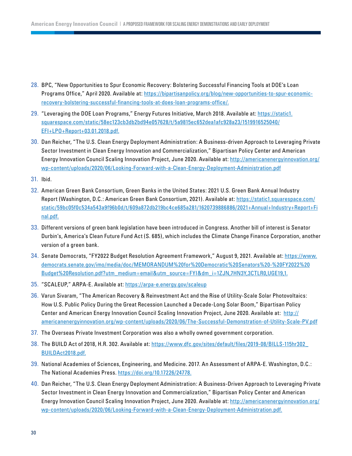- <span id="page-29-0"></span>28. [B](#page-18-0)PC, "New Opportunities to Spur Economic Recovery: Bolstering Successful Financing Tools at DOE's Loan Programs Office," April 2020. Available at: [https://bipartisanpolicy.org/blog/new-opportunities-to-spur-economic](https://bipartisanpolicy.org/blog/new-opportunities-to-spur-economic-recovery-bolstering-successful-financing-tools-at-does-loan-programs-office/)[recovery-bolstering-successful-financing-tools-at-does-loan-programs-office/.](https://bipartisanpolicy.org/blog/new-opportunities-to-spur-economic-recovery-bolstering-successful-financing-tools-at-does-loan-programs-office/)
- 29. ["L](#page-18-0)everaging the DOE Loan Programs," Energy Futures Initiative, March 2018. Available at: [https://static1.](https://static1.squarespace.com/static/58ec123cb3db2bd94e057628/t/5a9815ec652dea1afc928a23/1519916525040/EFI+LPO+Report+03.01.2018.pdf.
) [squarespace.com/static/58ec123cb3db2bd94e057628/t/5a9815ec652dea1afc928a23/1519916525040/](https://static1.squarespace.com/static/58ec123cb3db2bd94e057628/t/5a9815ec652dea1afc928a23/1519916525040/EFI+LPO+Report+03.01.2018.pdf.
) [EFI+LPO+Report+03.01.2018.pdf.](https://static1.squarespace.com/static/58ec123cb3db2bd94e057628/t/5a9815ec652dea1afc928a23/1519916525040/EFI+LPO+Report+03.01.2018.pdf.
)
- 30. [D](#page-19-0)an Reicher, "The U.S. Clean Energy Deployment Administration: A Business-driven Approach to Leveraging Private Sector Investment in Clean Energy Innovation and Commercialization," Bipartisan Policy Center and American Energy Innovation Council Scaling Innovation Project, June 2020. Available at: [http://americanenergyinnovation.org/](http://americanenergyinnovation.org/wp-content/uploads/2020/06/Looking-Forward-with-a-Clean-Energy-D) [wp-content/uploads/2020/06/Looking-Forward-with-a-Clean-Energy-Deployment-Administration.pdf](http://americanenergyinnovation.org/wp-content/uploads/2020/06/Looking-Forward-with-a-Clean-Energy-D)
- 31. [Ib](#page-19-0)id.
- 32. [Am](#page-20-0)erican Green Bank Consortium, Green Banks in the United States: 2021 U.S. Green Bank Annual Industry Report (Washington, D.C.: American Green Bank Consortium, 2021). Available at: [https://static1.squarespace.com/](https://static1.squarespace.com/static/59bc05f0c534a543a9f96b0d/t/609a872db219bc4ce685a281/1620739886886/2021+Annual+Industry+Report+Final.pdf.) [static/59bc05f0c534a543a9f96b0d/t/609a872db219bc4ce685a281/1620739886886/2021+Annual+Industry+Report+Fi](https://static1.squarespace.com/static/59bc05f0c534a543a9f96b0d/t/609a872db219bc4ce685a281/1620739886886/2021+Annual+Industry+Report+Final.pdf.) [nal.pdf.](https://static1.squarespace.com/static/59bc05f0c534a543a9f96b0d/t/609a872db219bc4ce685a281/1620739886886/2021+Annual+Industry+Report+Final.pdf.)
- 33. [D](#page-20-0)ifferent versions of green bank legislation have been introduced in Congress. Another bill of interest is Senator Durbin's, America's Clean Future Fund Act (S. 685), which includes the Climate Change Finance Corporation, another version of a green bank.
- 34. [Se](#page-20-0)nate Democrats, "FY2022 Budget Resolution Agreement Framework," August 9, 2021. Available at: [https://www.](https://www.democrats.senate.gov/imo/media/doc/MEMORANDUM%20for%20Democratic%20Senators%20-%20FY2022%20Budget%20Resolution.pdf?utm_medium=email&utm_source=FYI&dm_i=1ZJN,7HN3Y,3CTLR0,UGE19,1.) [democrats.senate.gov/imo/media/doc/MEMORANDUM%20for%20Democratic%20Senators%20-%20FY2022%20](https://www.democrats.senate.gov/imo/media/doc/MEMORANDUM%20for%20Democratic%20Senators%20-%20FY2022%20Budget%20Resolution.pdf?utm_medium=email&utm_source=FYI&dm_i=1ZJN,7HN3Y,3CTLR0,UGE19,1.) [Budget%20Resolution.pdf?utm\\_medium=email&utm\\_source=FYI&dm\\_i=1ZJN,7HN3Y,3CTLR0,UGE19,1.](https://www.democrats.senate.gov/imo/media/doc/MEMORANDUM%20for%20Democratic%20Senators%20-%20FY2022%20Budget%20Resolution.pdf?utm_medium=email&utm_source=FYI&dm_i=1ZJN,7HN3Y,3CTLR0,UGE19,1.)
- 35. ["S](#page-22-0)CALEUP," ARPA-E. Available at: <https://arpa-e.energy.gov/scaleup>
- 36. [Va](#page-23-0)run Sivaram, "The American Recovery & Reinvestment Act and the Rise of Utility-Scale Solar Photovoltaics: How U.S. Public Policy During the Great Recession Launched a Decade-Long Solar Boom," Bipartisan Policy Center and American Energy Innovation Council Scaling Innovation Project, June 2020. Available at: [http://](http://americanenergyinnovation.org/wp-content/uploads/2020/06/The-Successful-Demonstration-of-Utility-Scale-PV.pdf) [americanenergyinnovation.org/wp-content/uploads/2020/06/The-Successful-Demonstration-of-Utility-Scale-PV.pdf](http://americanenergyinnovation.org/wp-content/uploads/2020/06/The-Successful-Demonstration-of-Utility-Scale-PV.pdf)
- 37. [T](#page-23-0)he Overseas Private Investment Corporation was also a wholly owned government corporation.
- 38. [T](#page-24-0)he BUILD Act of 2018, H.R. 302. Available at: [https://www.dfc.gov/sites/default/files/2019-08/BILLS-115hr302\\_](https://www.dfc.gov/sites/default/files/2019-08/BILLS-115hr302_BUILDAct2018.pdf) [BUILDAct2018.pdf.](https://www.dfc.gov/sites/default/files/2019-08/BILLS-115hr302_BUILDAct2018.pdf)
- 39. [Na](#page-24-0)tional Academies of Sciences, Engineering, and Medicine. 2017. An Assessment of ARPA-E. Washington, D.C.: The National Academies Press. [https://doi.org/10.17226/24778.](https://doi.org/10.17226/24778)
- 40. [D](#page-24-0)an Reicher, "The U.S. Clean Energy Deployment Administration: A Business-Driven Approach to Leveraging Private Sector Investment in Clean Energy Innovation and Commercialization," Bipartisan Policy Center and American Energy Innovation Council Scaling Innovation Project, June 2020. Available at: [http://americanenergyinnovation.org/](http://americanenergyinnovation.org/wp-content/uploads/2020/06/Looking-Forward-with-a-Clean-Energy-Deployment-Administration.pdf.) [wp-content/uploads/2020/06/Looking-Forward-with-a-Clean-Energy-Deployment-Administration.pdf.](http://americanenergyinnovation.org/wp-content/uploads/2020/06/Looking-Forward-with-a-Clean-Energy-Deployment-Administration.pdf.)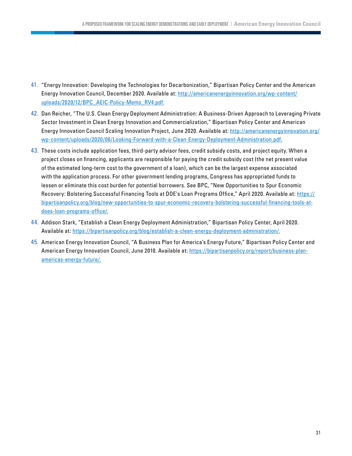- <span id="page-30-0"></span>41. ["E](#page-24-0)nergy Innovation: Developing the Technologies for Decarbonization," Bipartisan Policy Center and the American Energy Innovation Council, December 2020. Available at: [http://americanenergyinnovation.org/wp-content/](http://americanenergyinnovation.org/wp-content/uploads/2020/12/BPC_AEIC-Policy-Memo_RV4.pdf.) [uploads/2020/12/BPC\\_AEIC-Policy-Memo\\_RV4.pdf.](http://americanenergyinnovation.org/wp-content/uploads/2020/12/BPC_AEIC-Policy-Memo_RV4.pdf.)
- 42. [D](#page-25-0)an Reicher, "The U.S. Clean Energy Deployment Administration: A Business-Driven Approach to Leveraging Private Sector Investment in Clean Energy Innovation and Commercialization," Bipartisan Policy Center and American Energy Innovation Council Scaling Innovation Project, June 2020. Available at: [http://americanenergyinnovation.org/](http://americanenergyinnovation.org/wp-content/uploads/2020/06/Looking-Forward-with-a-Clean-Energy-Deployment-Administration.pdf.) [wp-content/uploads/2020/06/Looking-Forward-with-a-Clean-Energy-Deployment-Administration.pdf.](http://americanenergyinnovation.org/wp-content/uploads/2020/06/Looking-Forward-with-a-Clean-Energy-Deployment-Administration.pdf.)
- 43. [T](#page-25-0)hese costs include application fees, third-party advisor fees, credit subsidy costs, and project equity. When a project closes on financing, applicants are responsible for paying the credit subsidy cost (the net present value of the estimated long-term cost to the government of a loan), which can be the largest expense associated with the application process. For other government lending programs, Congress has appropriated funds to lessen or eliminate this cost burden for potential borrowers. See BPC, "New Opportunities to Spur Economic Recovery: Bolstering Successful Financing Tools at DOE's Loan Programs Office," April 2020. Available at: [https://](https://bipartisanpolicy.org/blog/new-opportunities-to-spur-economic-recovery-bolstering-successful-financing-tools-at-does-loan-programs-office/.) [bipartisanpolicy.org/blog/new-opportunities-to-spur-economic-recovery-bolstering-successful-financing-tools-at](https://bipartisanpolicy.org/blog/new-opportunities-to-spur-economic-recovery-bolstering-successful-financing-tools-at-does-loan-programs-office/.)[does-loan-programs-office/.](https://bipartisanpolicy.org/blog/new-opportunities-to-spur-economic-recovery-bolstering-successful-financing-tools-at-does-loan-programs-office/.)
- 44. [A](#page-25-0)ddison Stark, "Establish a Clean Energy Deployment Administration," Bipartisan Policy Center, April 2020. Available at:<https://bipartisanpolicy.org/blog/establish-a-clean-energy-deployment-administration/.>
- 45. [Am](#page-26-0)erican Energy Innovation Council, "A Business Plan for America's Energy Future," Bipartisan Policy Center and American Energy Innovation Council, June 2010. Available at: [https://bipartisanpolicy.org/report/business-plan](https://bipartisanpolicy.org/report/business-plan-americas-energy-future/.)[americas-energy-future/.](https://bipartisanpolicy.org/report/business-plan-americas-energy-future/.)